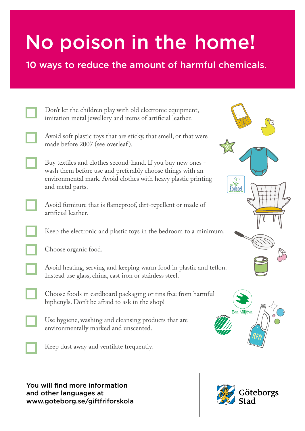## No poison in the home!

10 ways to reduce the amount of harmful chemicals.

| Don't let the children play with old electronic equipment,<br>imitation metal jewellery and items of artificial leather.                                                                                                  |
|---------------------------------------------------------------------------------------------------------------------------------------------------------------------------------------------------------------------------|
| Avoid soft plastic toys that are sticky, that smell, or that were<br>made before 2007 (see overleaf).                                                                                                                     |
| Buy textiles and clothes second-hand. If you buy new ones -<br>wash them before use and preferably choose things with an<br>environmental mark. Avoid clothes with heavy plastic printing<br>and metal parts.<br>Ecolabel |
| Avoid furniture that is flameproof, dirt-repellent or made of<br>artificial leather.                                                                                                                                      |
| Keep the electronic and plastic toys in the bedroom to a minimum.                                                                                                                                                         |
| Choose organic food.                                                                                                                                                                                                      |
| Avoid heating, serving and keeping warm food in plastic and teflon.<br>Instead use glass, china, cast iron or stainless steel.                                                                                            |
| Choose foods in cardboard packaging or tins free from harmful<br>biphenyls. Don't be afraid to ask in the shop!                                                                                                           |
| <b>Bra Miljöval</b><br>Use hygiene, washing and cleansing products that are<br>environmentally marked and unscented.                                                                                                      |
| Keep dust away and ventilate frequently.                                                                                                                                                                                  |

You will find more information and other languages at www.goteborg.se/giftfriforskola